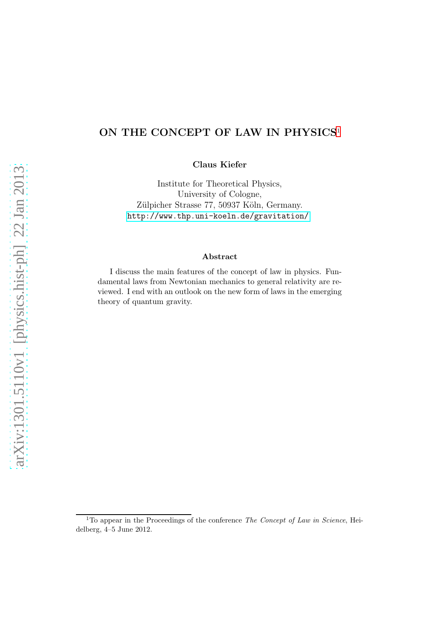### ON THE CONCEPT OF LAW IN PHYSICS<sup>[1](#page-0-0)</sup>

Claus Kiefer

Institute for Theoretical Physics, University of Cologne, Zülpicher Strasse 77, 50937 Köln, Germany. <http://www.thp.uni-koeln.de/gravitation/>

#### Abstract

I discuss the main features of the concept of law in physics. Fundamental laws from Newtonian mechanics to general relativity are reviewed. I end with an outlook on the new form of laws in the emerging theory of quantum gravity.

<span id="page-0-0"></span><sup>&</sup>lt;sup>1</sup>To appear in the Proceedings of the conference *The Concept of Law in Science*, Heidelberg, 4–5 June 2012.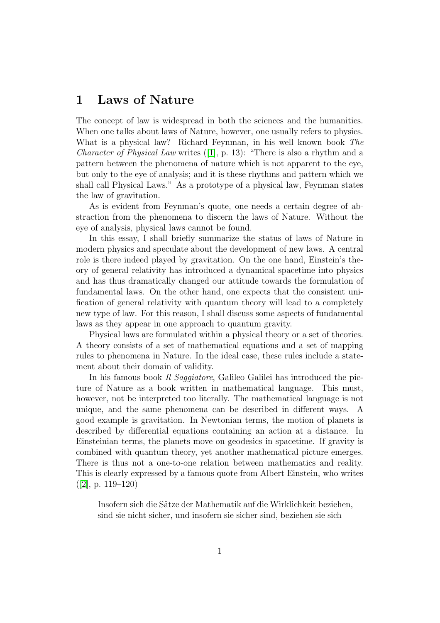## 1 Laws of Nature

The concept of law is widespread in both the sciences and the humanities. When one talks about laws of Nature, however, one usually refers to physics. What is a physical law? Richard Feynman, in his well known book *The Character of Physical Law* writes ([\[1\]](#page-9-0), p. 13): "There is also a rhythm and a pattern between the phenomena of nature which is not apparent to the eye, but only to the eye of analysis; and it is these rhythms and pattern which we shall call Physical Laws." As a prototype of a physical law, Feynman states the law of gravitation.

As is evident from Feynman's quote, one needs a certain degree of abstraction from the phenomena to discern the laws of Nature. Without the eye of analysis, physical laws cannot be found.

In this essay, I shall briefly summarize the status of laws of Nature in modern physics and speculate about the development of new laws. A central role is there indeed played by gravitation. On the one hand, Einstein's theory of general relativity has introduced a dynamical spacetime into physics and has thus dramatically changed our attitude towards the formulation of fundamental laws. On the other hand, one expects that the consistent unification of general relativity with quantum theory will lead to a completely new type of law. For this reason, I shall discuss some aspects of fundamental laws as they appear in one approach to quantum gravity.

Physical laws are formulated within a physical theory or a set of theories. A theory consists of a set of mathematical equations and a set of mapping rules to phenomena in Nature. In the ideal case, these rules include a statement about their domain of validity.

In his famous book *Il Saggiatore*, Galileo Galilei has introduced the picture of Nature as a book written in mathematical language. This must, however, not be interpreted too literally. The mathematical language is not unique, and the same phenomena can be described in different ways. A good example is gravitation. In Newtonian terms, the motion of planets is described by differential equations containing an action at a distance. In Einsteinian terms, the planets move on geodesics in spacetime. If gravity is combined with quantum theory, yet another mathematical picture emerges. There is thus not a one-to-one relation between mathematics and reality. This is clearly expressed by a famous quote from Albert Einstein, who writes  $([2], p. 119–120)$  $([2], p. 119–120)$  $([2], p. 119–120)$ 

Insofern sich die Sätze der Mathematik auf die Wirklichkeit beziehen, sind sie nicht sicher, und insofern sie sicher sind, beziehen sie sich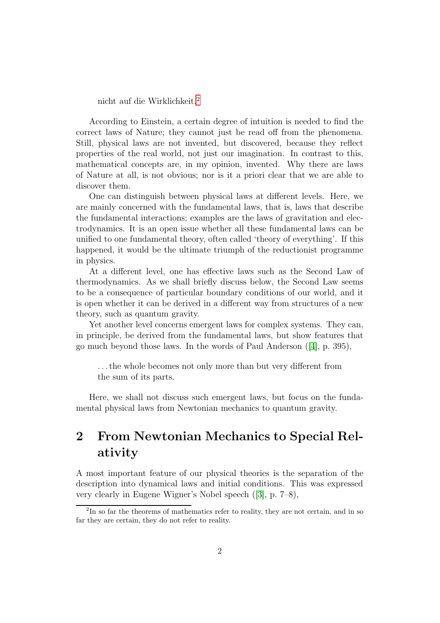nicht auf die Wirklichkeit.[2](#page-2-0)

According to Einstein, a certain degree of intuition is needed to find the correct laws of Nature; they cannot just be read off from the phenomena. Still, physical laws are not invented, but discovered, because they reflect properties of the real world, not just our imagination. In contrast to this, mathematical concepts are, in my opinion, invented. Why there are laws of Nature at all, is not obvious; nor is it a priori clear that we are able to discover them.

One can distinguish between physical laws at different levels. Here, we are mainly concerned with the fundamental laws, that is, laws that describe the fundamental interactions; examples are the laws of gravitation and electrodynamics. It is an open issue whether all these fundamental laws can be unified to one fundamental theory, often called 'theory of everything'. If this happened, it would be the ultimate triumph of the reductionist programme in physics.

At a different level, one has effective laws such as the Second Law of thermodynamics. As we shall briefly discuss below, the Second Law seems to be a consequence of particular boundary conditions of our world, and it is open whether it can be derived in a different way from structures of a new theory, such as quantum gravity.

Yet another level concerns emergent laws for complex systems. They can, in principle, be derived from the fundamental laws, but show features that go much beyond those laws. In the words of Paul Anderson ([\[4\]](#page-9-2), p. 395),

. . . the whole becomes not only more than but very different from the sum of its parts.

Here, we shall not discuss such emergent laws, but focus on the fundamental physical laws from Newtonian mechanics to quantum gravity.

# 2 From Newtonian Mechanics to Special Relativity

A most important feature of our physical theories is the separation of the description into dynamical laws and initial conditions. This was expressed very clearly in Eugene Wigner's Nobel speech ([\[3\]](#page-9-3), p. 7–8),

<span id="page-2-0"></span><sup>&</sup>lt;sup>2</sup>In so far the theorems of mathematics refer to reality, they are not certain, and in so far they are certain, they do not refer to reality.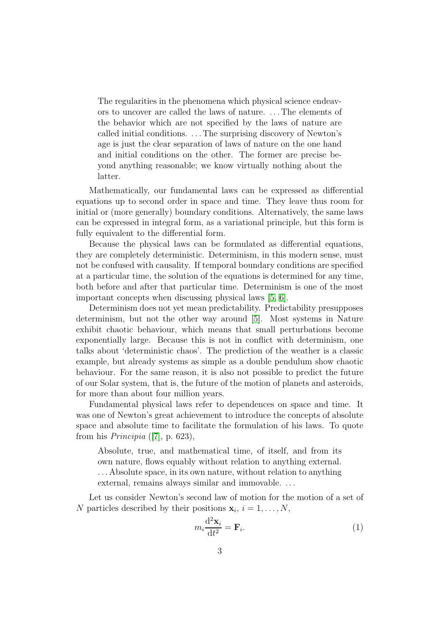The regularities in the phenomena which physical science endeavors to uncover are called the laws of nature. . . . The elements of the behavior which are not specified by the laws of nature are called initial conditions. . . . The surprising discovery of Newton's age is just the clear separation of laws of nature on the one hand and initial conditions on the other. The former are precise beyond anything reasonable; we know virtually nothing about the latter.

Mathematically, our fundamental laws can be expressed as differential equations up to second order in space and time. They leave thus room for initial or (more generally) boundary conditions. Alternatively, the same laws can be expressed in integral form, as a variational principle, but this form is fully equivalent to the differential form.

Because the physical laws can be formulated as differential equations, they are completely deterministic. Determinism, in this modern sense, must not be confused with causality. If temporal boundary conditions are specified at a particular time, the solution of the equations is determined for any time, both before and after that particular time. Determinism is one of the most important concepts when discussing physical laws [\[5,](#page-9-4) [6\]](#page-9-5).

Determinism does not yet mean predictability. Predictability presupposes determinism, but not the other way around [\[5\]](#page-9-4). Most systems in Nature exhibit chaotic behaviour, which means that small perturbations become exponentially large. Because this is not in conflict with determinism, one talks about 'deterministic chaos'. The prediction of the weather is a classic example, but already systems as simple as a double pendulum show chaotic behaviour. For the same reason, it is also not possible to predict the future of our Solar system, that is, the future of the motion of planets and asteroids, for more than about four million years.

Fundamental physical laws refer to dependences on space and time. It was one of Newton's great achievement to introduce the concepts of absolute space and absolute time to facilitate the formulation of his laws. To quote from his *Principia* ([\[7\]](#page-9-6), p. 623),

Absolute, true, and mathematical time, of itself, and from its own nature, flows equably without relation to anything external. . . . Absolute space, in its own nature, without relation to anything external, remains always similar and immovable. . . .

Let us consider Newton's second law of motion for the motion of a set of N particles described by their positions  $\mathbf{x}_i, i = 1, \ldots, N$ ,

<span id="page-3-0"></span>
$$
m_i \frac{\mathrm{d}^2 \mathbf{x}_i}{\mathrm{d}t^2} = \mathbf{F}_i. \tag{1}
$$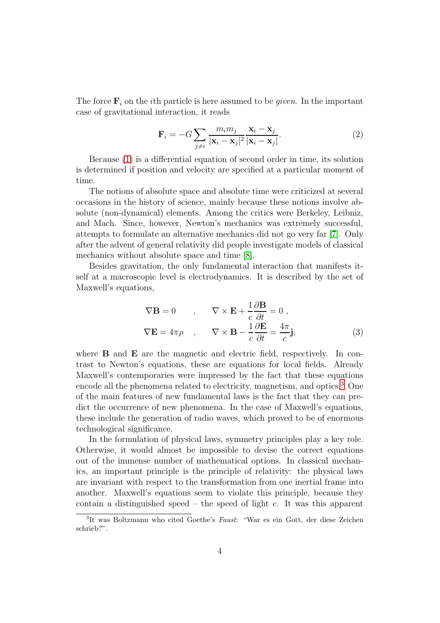The force  $\mathbf{F}_i$  on the *i*th particle is here assumed to be *given*. In the important case of gravitational interaction, it reads

$$
\mathbf{F}_{i} = -G \sum_{j \neq i} \frac{m_{i} m_{j}}{|\mathbf{x}_{i} - \mathbf{x}_{j}|^{2}} \frac{\mathbf{x}_{i} - \mathbf{x}_{j}}{|\mathbf{x}_{i} - \mathbf{x}_{j}|}. \tag{2}
$$

Because [\(1\)](#page-3-0) is a differential equation of second order in time, its solution is determined if position and velocity are specified at a particular moment of time.

The notions of absolute space and absolute time were criticized at several occasions in the history of science, mainly because these notions involve absolute (non-dynamical) elements. Among the critics were Berkeley, Leibniz, and Mach. Since, however, Newton's mechanics was extremely successful, attempts to formulate an alternative mechanics did not go very far [\[7\]](#page-9-6). Only after the advent of general relativity did people investigate models of classical mechanics without absolute space and time [\[8\]](#page-9-7).

Besides gravitation, the only fundamental interaction that manifests itself at a macroscopic level is electrodynamics. It is described by the set of Maxwell's equations,

$$
\nabla \mathbf{B} = 0 \qquad , \qquad \nabla \times \mathbf{E} + \frac{1}{c} \frac{\partial \mathbf{B}}{\partial t} = 0 ,
$$
  

$$
\nabla \mathbf{E} = 4\pi \rho \qquad , \qquad \nabla \times \mathbf{B} - \frac{1}{c} \frac{\partial \mathbf{E}}{\partial t} = \frac{4\pi}{c} \mathbf{j}, \tag{3}
$$

where  $\bf{B}$  and  $\bf{E}$  are the magnetic and electric field, respectively. In contrast to Newton's equations, these are equations for local fields. Already Maxwell's contemporaries were impressed by the fact that these equations encode all the phenomena related to electricity, magnetism, and optics.<sup>[3](#page-4-0)</sup> One of the main features of new fundamental laws is the fact that they can predict the occurrence of new phenomena. In the case of Maxwell's equations, these include the generation of radio waves, which proved to be of enormous technological significance.

In the formulation of physical laws, symmetry principles play a key role. Otherwise, it would almost be impossible to devise the correct equations out of the immense number of mathematical options. In classical mechanics, an important principle is the principle of relativity: the physical laws are invariant with respect to the transformation from one inertial frame into another. Maxwell's equations seem to violate this principle, because they contain a distinguished speed – the speed of light  $c$ . It was this apparent

<span id="page-4-0"></span><sup>3</sup> It was Boltzmann who cited Goethe's Faust: "War es ein Gott, der diese Zeichen schrieb?".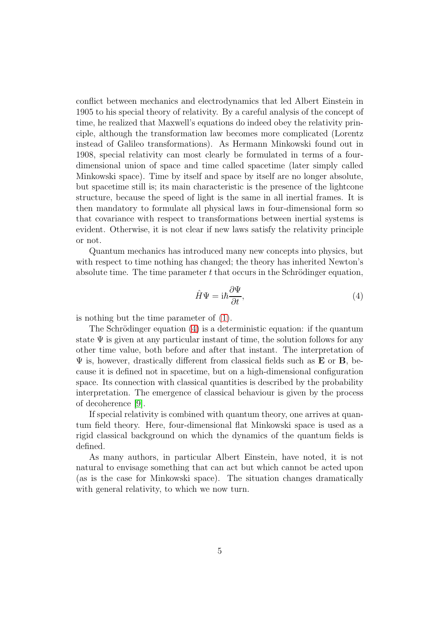conflict between mechanics and electrodynamics that led Albert Einstein in 1905 to his special theory of relativity. By a careful analysis of the concept of time, he realized that Maxwell's equations do indeed obey the relativity principle, although the transformation law becomes more complicated (Lorentz instead of Galileo transformations). As Hermann Minkowski found out in 1908, special relativity can most clearly be formulated in terms of a fourdimensional union of space and time called spacetime (later simply called Minkowski space). Time by itself and space by itself are no longer absolute, but spacetime still is; its main characteristic is the presence of the lightcone structure, because the speed of light is the same in all inertial frames. It is then mandatory to formulate all physical laws in four-dimensional form so that covariance with respect to transformations between inertial systems is evident. Otherwise, it is not clear if new laws satisfy the relativity principle or not.

Quantum mechanics has introduced many new concepts into physics, but with respect to time nothing has changed; the theory has inherited Newton's absolute time. The time parameter  $t$  that occurs in the Schrödinger equation,

<span id="page-5-0"></span>
$$
\hat{H}\Psi = \mathrm{i}\hbar \frac{\partial \Psi}{\partial t},\tag{4}
$$

is nothing but the time parameter of [\(1\)](#page-3-0).

The Schrödinger equation  $(4)$  is a deterministic equation: if the quantum state  $\Psi$  is given at any particular instant of time, the solution follows for any other time value, both before and after that instant. The interpretation of  $\Psi$  is, however, drastically different from classical fields such as **E** or **B**, because it is defined not in spacetime, but on a high-dimensional configuration space. Its connection with classical quantities is described by the probability interpretation. The emergence of classical behaviour is given by the process of decoherence [\[9\]](#page-9-8).

If special relativity is combined with quantum theory, one arrives at quantum field theory. Here, four-dimensional flat Minkowski space is used as a rigid classical background on which the dynamics of the quantum fields is defined.

As many authors, in particular Albert Einstein, have noted, it is not natural to envisage something that can act but which cannot be acted upon (as is the case for Minkowski space). The situation changes dramatically with general relativity, to which we now turn.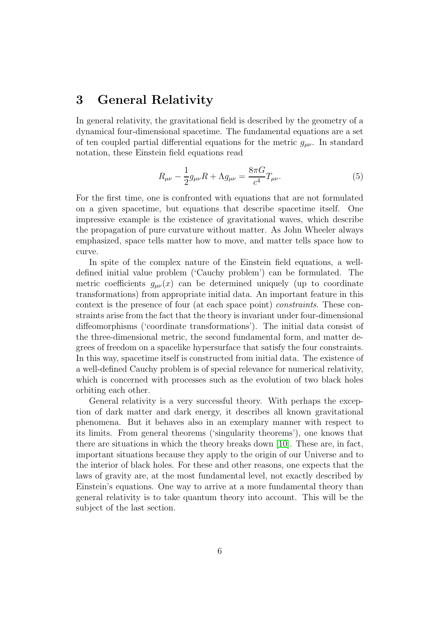## 3 General Relativity

In general relativity, the gravitational field is described by the geometry of a dynamical four-dimensional spacetime. The fundamental equations are a set of ten coupled partial differential equations for the metric  $g_{\mu\nu}$ . In standard notation, these Einstein field equations read

$$
R_{\mu\nu} - \frac{1}{2}g_{\mu\nu}R + \Lambda g_{\mu\nu} = \frac{8\pi G}{c^4}T_{\mu\nu}.
$$
 (5)

For the first time, one is confronted with equations that are not formulated on a given spacetime, but equations that describe spacetime itself. One impressive example is the existence of gravitational waves, which describe the propagation of pure curvature without matter. As John Wheeler always emphasized, space tells matter how to move, and matter tells space how to curve.

In spite of the complex nature of the Einstein field equations, a welldefined initial value problem ('Cauchy problem') can be formulated. The metric coefficients  $g_{\mu\nu}(x)$  can be determined uniquely (up to coordinate transformations) from appropriate initial data. An important feature in this context is the presence of four (at each space point) *constraints*. These constraints arise from the fact that the theory is invariant under four-dimensional diffeomorphisms ('coordinate transformations'). The initial data consist of the three-dimensional metric, the second fundamental form, and matter degrees of freedom on a spacelike hypersurface that satisfy the four constraints. In this way, spacetime itself is constructed from initial data. The existence of a well-defined Cauchy problem is of special relevance for numerical relativity, which is concerned with processes such as the evolution of two black holes orbiting each other.

General relativity is a very successful theory. With perhaps the exception of dark matter and dark energy, it describes all known gravitational phenomena. But it behaves also in an exemplary manner with respect to its limits. From general theorems ('singularity theorems'), one knows that there are situations in which the theory breaks down [\[10\]](#page-10-0). These are, in fact, important situations because they apply to the origin of our Universe and to the interior of black holes. For these and other reasons, one expects that the laws of gravity are, at the most fundamental level, not exactly described by Einstein's equations. One way to arrive at a more fundamental theory than general relativity is to take quantum theory into account. This will be the subject of the last section.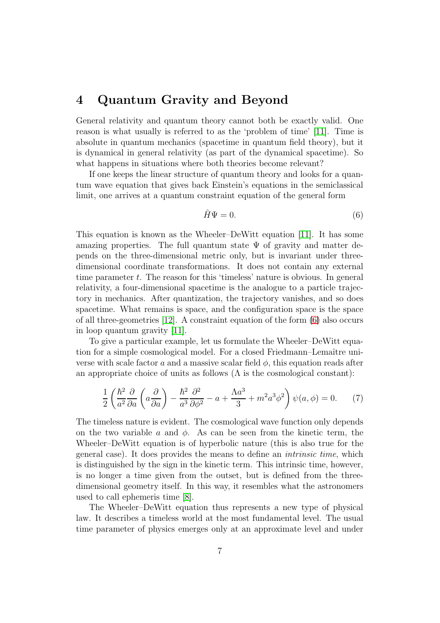## 4 Quantum Gravity and Beyond

General relativity and quantum theory cannot both be exactly valid. One reason is what usually is referred to as the 'problem of time' [\[11\]](#page-10-1). Time is absolute in quantum mechanics (spacetime in quantum field theory), but it is dynamical in general relativity (as part of the dynamical spacetime). So what happens in situations where both theories become relevant?

If one keeps the linear structure of quantum theory and looks for a quantum wave equation that gives back Einstein's equations in the semiclassical limit, one arrives at a quantum constraint equation of the general form

<span id="page-7-0"></span>
$$
\hat{H}\Psi = 0.\t\t(6)
$$

This equation is known as the Wheeler–DeWitt equation [\[11\]](#page-10-1). It has some amazing properties. The full quantum state  $\Psi$  of gravity and matter depends on the three-dimensional metric only, but is invariant under threedimensional coordinate transformations. It does not contain any external time parameter t. The reason for this 'timeless' nature is obvious. In general relativity, a four-dimensional spacetime is the analogue to a particle trajectory in mechanics. After quantization, the trajectory vanishes, and so does spacetime. What remains is space, and the configuration space is the space of all three-geometries [\[12\]](#page-10-2). A constraint equation of the form [\(6\)](#page-7-0) also occurs in loop quantum gravity [\[11\]](#page-10-1).

To give a particular example, let us formulate the Wheeler–DeWitt equation for a simple cosmological model. For a closed Friedmann–Lemaître universe with scale factor a and a massive scalar field  $\phi$ , this equation reads after an appropriate choice of units as follows  $(\Lambda$  is the cosmological constant):

$$
\frac{1}{2} \left( \frac{\hbar^2}{a^2} \frac{\partial}{\partial a} \left( a \frac{\partial}{\partial a} \right) - \frac{\hbar^2}{a^3} \frac{\partial^2}{\partial \phi^2} - a + \frac{\Lambda a^3}{3} + m^2 a^3 \phi^2 \right) \psi(a, \phi) = 0. \tag{7}
$$

The timeless nature is evident. The cosmological wave function only depends on the two variable a and  $\phi$ . As can be seen from the kinetic term, the Wheeler–DeWitt equation is of hyperbolic nature (this is also true for the general case). It does provides the means to define an *intrinsic time*, which is distinguished by the sign in the kinetic term. This intrinsic time, however, is no longer a time given from the outset, but is defined from the threedimensional geometry itself. In this way, it resembles what the astronomers used to call ephemeris time [\[8\]](#page-9-7).

The Wheeler–DeWitt equation thus represents a new type of physical law. It describes a timeless world at the most fundamental level. The usual time parameter of physics emerges only at an approximate level and under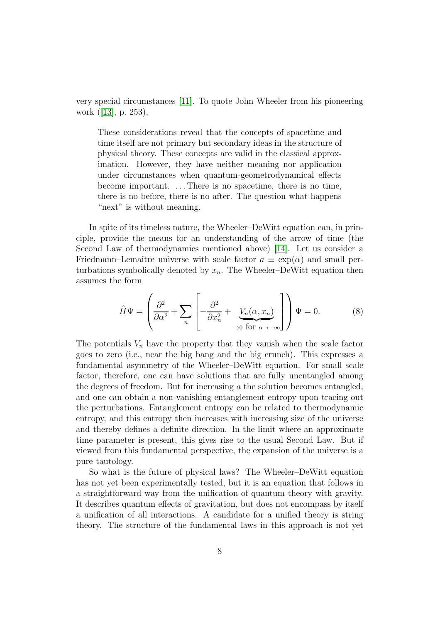very special circumstances [\[11\]](#page-10-1). To quote John Wheeler from his pioneering work ([\[13\]](#page-10-3), p. 253),

These considerations reveal that the concepts of spacetime and time itself are not primary but secondary ideas in the structure of physical theory. These concepts are valid in the classical approximation. However, they have neither meaning nor application under circumstances when quantum-geometrodynamical effects become important. . . . There is no spacetime, there is no time, there is no before, there is no after. The question what happens "next" is without meaning.

In spite of its timeless nature, the Wheeler–DeWitt equation can, in principle, provide the means for an understanding of the arrow of time (the Second Law of thermodynamics mentioned above) [\[14\]](#page-10-4). Let us consider a Friedmann–Lemaître universe with scale factor  $a \equiv \exp(\alpha)$  and small perturbations symbolically denoted by  $x_n$ . The Wheeler–DeWitt equation then assumes the form

$$
\hat{H}\Psi = \left(\frac{\partial^2}{\partial \alpha^2} + \sum_n \left[ -\frac{\partial^2}{\partial x_n^2} + \underbrace{V_n(\alpha, x_n)}_{\to 0 \text{ for } \alpha \to -\infty} \right] \right) \Psi = 0.
$$
 (8)

The potentials  $V_n$  have the property that they vanish when the scale factor goes to zero (i.e., near the big bang and the big crunch). This expresses a fundamental asymmetry of the Wheeler–DeWitt equation. For small scale factor, therefore, one can have solutions that are fully unentangled among the degrees of freedom. But for increasing  $\alpha$  the solution becomes entangled, and one can obtain a non-vanishing entanglement entropy upon tracing out the perturbations. Entanglement entropy can be related to thermodynamic entropy, and this entropy then increases with increasing size of the universe and thereby defines a definite direction. In the limit where an approximate time parameter is present, this gives rise to the usual Second Law. But if viewed from this fundamental perspective, the expansion of the universe is a pure tautology.

So what is the future of physical laws? The Wheeler–DeWitt equation has not yet been experimentally tested, but it is an equation that follows in a straightforward way from the unification of quantum theory with gravity. It describes quantum effects of gravitation, but does not encompass by itself a unification of all interactions. A candidate for a unified theory is string theory. The structure of the fundamental laws in this approach is not yet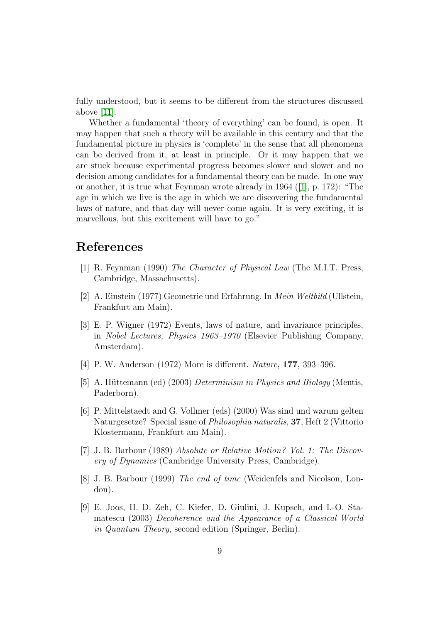fully understood, but it seems to be different from the structures discussed above [\[11\]](#page-10-1).

Whether a fundamental 'theory of everything' can be found, is open. It may happen that such a theory will be available in this century and that the fundamental picture in physics is 'complete' in the sense that all phenomena can be derived from it, at least in principle. Or it may happen that we are stuck because experimental progress becomes slower and slower and no decision among candidates for a fundamental theory can be made. In one way or another, it is true what Feynman wrote already in 1964 ([\[1\]](#page-9-0), p. 172): "The age in which we live is the age in which we are discovering the fundamental laws of nature, and that day will never come again. It is very exciting, it is marvellous, but this excitement will have to go."

## <span id="page-9-0"></span>References

- [1] R. Feynman (1990) *The Character of Physical Law* (The M.I.T. Press, Cambridge, Massachusetts).
- <span id="page-9-1"></span>[2] A. Einstein (1977) Geometrie und Erfahrung. In *Mein Weltbild* (Ullstein, Frankfurt am Main).
- <span id="page-9-3"></span>[3] E. P. Wigner (1972) Events, laws of nature, and invariance principles, in *Nobel Lectures, Physics 1963–1970* (Elsevier Publishing Company, Amsterdam).
- <span id="page-9-4"></span><span id="page-9-2"></span>[4] P. W. Anderson (1972) More is different. *Nature*, 177, 393–396.
- [5] A. Hüttemann (ed) (2003) *Determinism in Physics and Biology* (Mentis, Paderborn).
- <span id="page-9-5"></span>[6] P. Mittelstaedt and G. Vollmer (eds) (2000) Was sind und warum gelten Naturgesetze? Special issue of *Philosophia naturalis*, 37, Heft 2 (Vittorio Klostermann, Frankfurt am Main).
- <span id="page-9-6"></span>[7] J. B. Barbour (1989) *Absolute or Relative Motion? Vol. 1: The Discovery of Dynamics* (Cambridge University Press, Cambridge).
- <span id="page-9-7"></span>[8] J. B. Barbour (1999) *The end of time* (Weidenfels and Nicolson, London).
- <span id="page-9-8"></span>[9] E. Joos, H. D. Zeh, C. Kiefer, D. Giulini, J. Kupsch, and I.-O. Stamatescu (2003) *Decoherence and the Appearance of a Classical World in Quantum Theory*, second edition (Springer, Berlin).